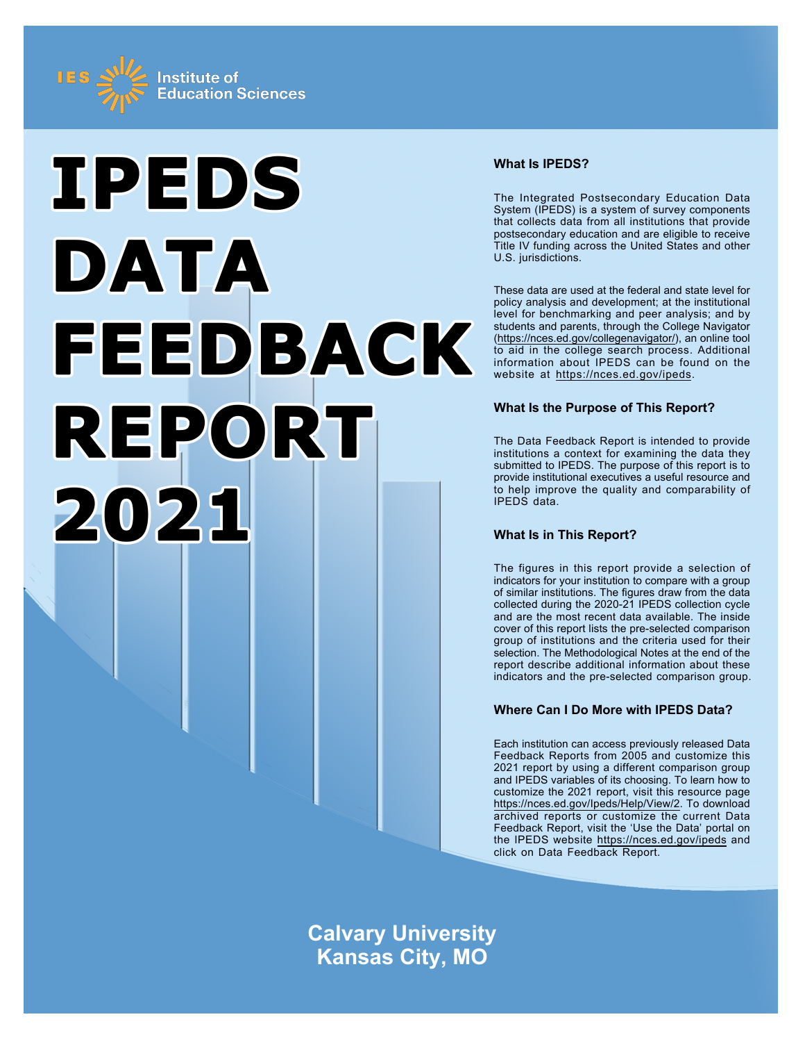



# **What Is IPEDS?**

The Integrated Postsecondary Education Data System (IPEDS) is a system of survey components that collects data from all institutions that provide postsecondary education and are eligible to receive Title IV funding across the United States and other U.S. jurisdictions.

These data are used at the federal and state level for policy analysis and development; at the institutional level for benchmarking and peer analysis; and by students and parents, through the College Navigator ([https://nces.ed.gov/collegenavigator/\)](https://nces.ed.gov/collegenavigator/), an online tool to aid in the college search process. Additional information about IPEDS can be found on the website at<https://nces.ed.gov/ipeds>.

# **What Is the Purpose of This Report?**

The Data Feedback Report is intended to provide institutions a context for examining the data they submitted to IPEDS. The purpose of this report is to provide institutional executives a useful resource and to help improve the quality and comparability of IPEDS data.

# **What Is in This Report?**

The figures in this report provide a selection of indicators for your institution to compare with a group of similar institutions. The figures draw from the data collected during the 2020-21 IPEDS collection cycle and are the most recent data available. The inside cover of this report lists the pre-selected comparison group of institutions and the criteria used for their selection. The Methodological Notes at the end of the report describe additional information about these indicators and the pre-selected comparison group.

# **Where Can I Do More with IPEDS Data?**

Each institution can access previously released Data Feedback Reports from 2005 and customize this 2021 report by using a different comparison group and IPEDS variables of its choosing. To learn how to customize the 2021 report, visit this resource page <https://nces.ed.gov/Ipeds/Help/View/2>. To download archived reports or customize the current Data Feedback Report, visit the 'Use the Data' portal on the IPEDS website<https://nces.ed.gov/ipeds> and click on Data Feedback Report.

**Calvary University Kansas City, MO**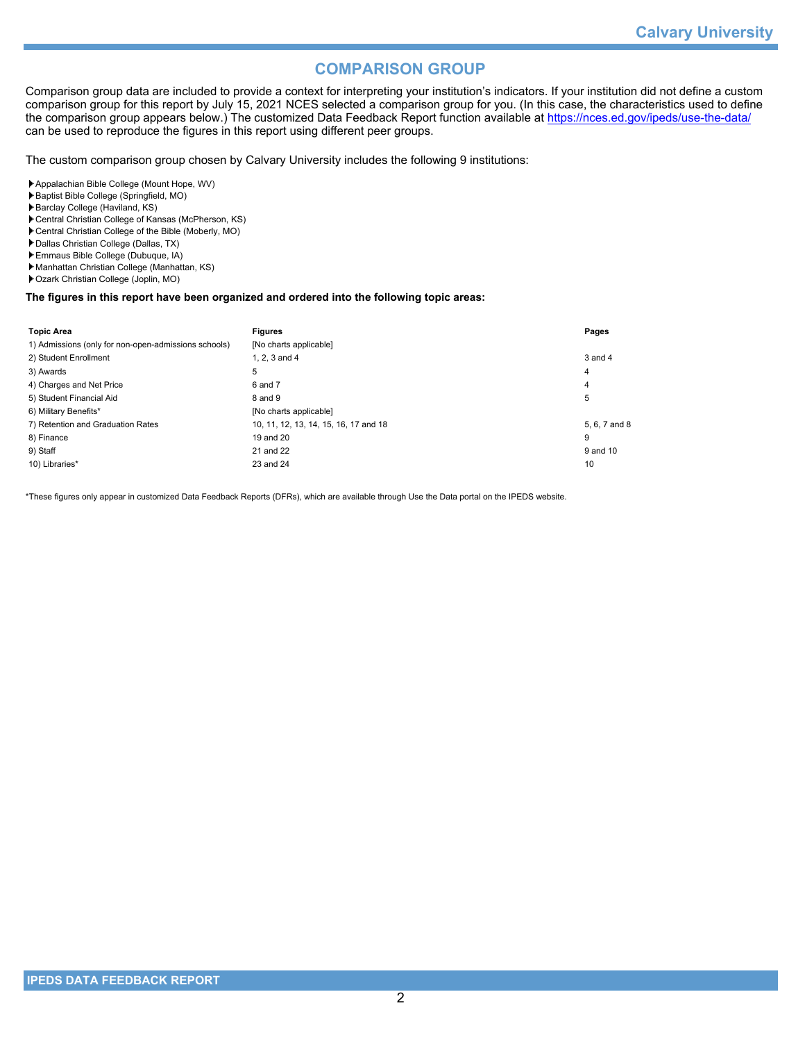# **COMPARISON GROUP**

Comparison group data are included to provide a context for interpreting your institution's indicators. If your institution did not define a custom comparison group for this report by July 15, 2021 NCES selected a comparison group for you. (In this case, the characteristics used to define the comparison group appears below.) The customized Data Feedback Report function available at<https://nces.ed.gov/ipeds/use-the-data/> can be used to reproduce the figures in this report using different peer groups.

The custom comparison group chosen by Calvary University includes the following 9 institutions:

- Appalachian Bible College (Mount Hope, WV)
- Baptist Bible College (Springfield, MO)
- Barclay College (Haviland, KS)
- Central Christian College of Kansas (McPherson, KS)
- Central Christian College of the Bible (Moberly, MO)
- Dallas Christian College (Dallas, TX)
- Emmaus Bible College (Dubuque, IA)
- Manhattan Christian College (Manhattan, KS)
- Ozark Christian College (Joplin, MO)

### **The figures in this report have been organized and ordered into the following topic areas:**

| <b>Topic Area</b>                                    | <b>Figures</b>                        | Pages         |
|------------------------------------------------------|---------------------------------------|---------------|
| 1) Admissions (only for non-open-admissions schools) | [No charts applicable]                |               |
| 2) Student Enrollment                                | 1. $2.3$ and $4$                      | $3$ and $4$   |
| 3) Awards                                            | 5                                     | 4             |
| 4) Charges and Net Price                             | 6 and 7                               | 4             |
| 5) Student Financial Aid                             | 8 and 9                               | 5             |
| 6) Military Benefits*                                | [No charts applicable]                |               |
| 7) Retention and Graduation Rates                    | 10, 11, 12, 13, 14, 15, 16, 17 and 18 | 5, 6, 7 and 8 |
| 8) Finance                                           | 19 and 20                             | 9             |
| 9) Staff                                             | 21 and 22                             | 9 and 10      |
| 10) Libraries*                                       | 23 and 24                             | 10            |

\*These figures only appear in customized Data Feedback Reports (DFRs), which are available through Use the Data portal on the IPEDS website.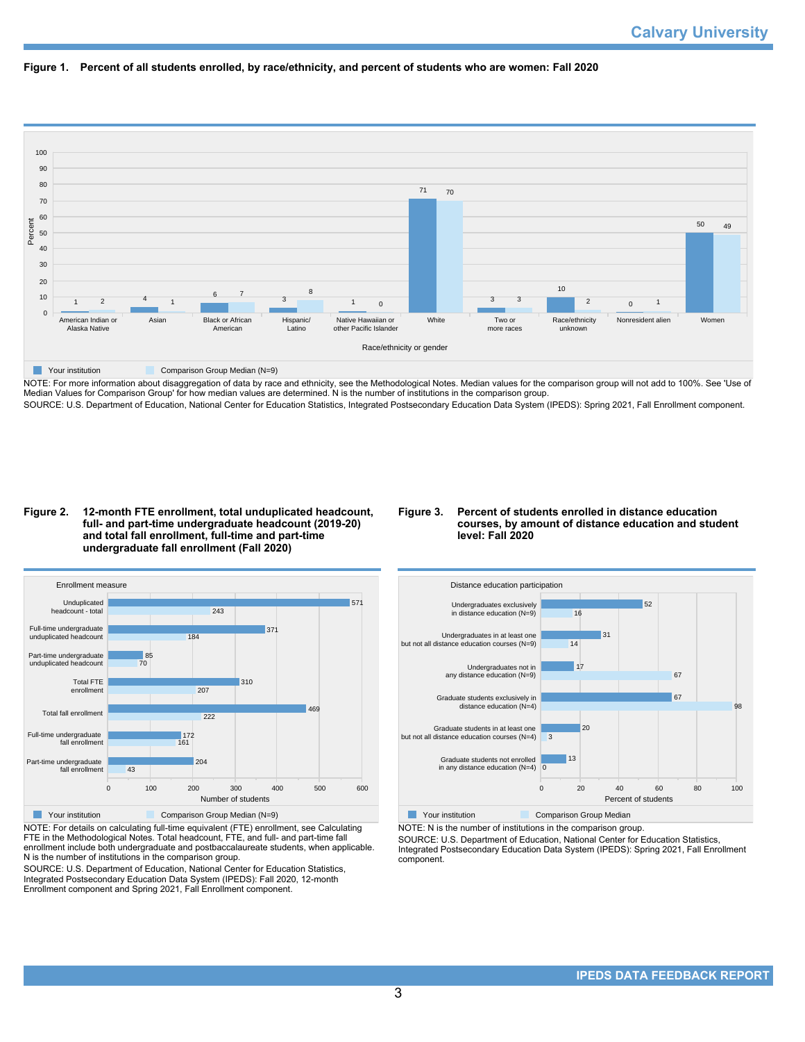



NOTE: For more information about disaggregation of data by race and ethnicity, see the Methodological Notes. Median values for the comparison group will not add to 100%. See 'Use of Median Values for Comparison Group' for how median values are determined. N is the number of institutions in the comparison group. SOURCE: U.S. Department of Education, National Center for Education Statistics, Integrated Postsecondary Education Data System (IPEDS): Spring 2021, Fall Enrollment component.

### **Figure 2. 12-month FTE enrollment, total unduplicated headcount, full- and part-time undergraduate headcount (2019-20) and total fall enrollment, full-time and part-time undergraduate fall enrollment (Fall 2020)**

### **Figure 3. Percent of students enrolled in distance education courses, by amount of distance education and student level: Fall 2020**



NOTE: For details on calculating full-time equivalent (FTE) enrollment, see Calculating FTE in the Methodological Notes. Total headcount, FTE, and full- and part-time fall enrollment include both undergraduate and postbaccalaureate students, when applicable. N is the number of institutions in the comparison group.

SOURCE: U.S. Department of Education, National Center for Education Statistics, Integrated Postsecondary Education Data System (IPEDS): Fall 2020, 12-month Enrollment component and Spring 2021, Fall Enrollment component.



NOTE: N is the number of institutions in the comparison group.

SOURCE: U.S. Department of Education, National Center for Education Statistics,

Integrated Postsecondary Education Data System (IPEDS): Spring 2021, Fall Enrollment component.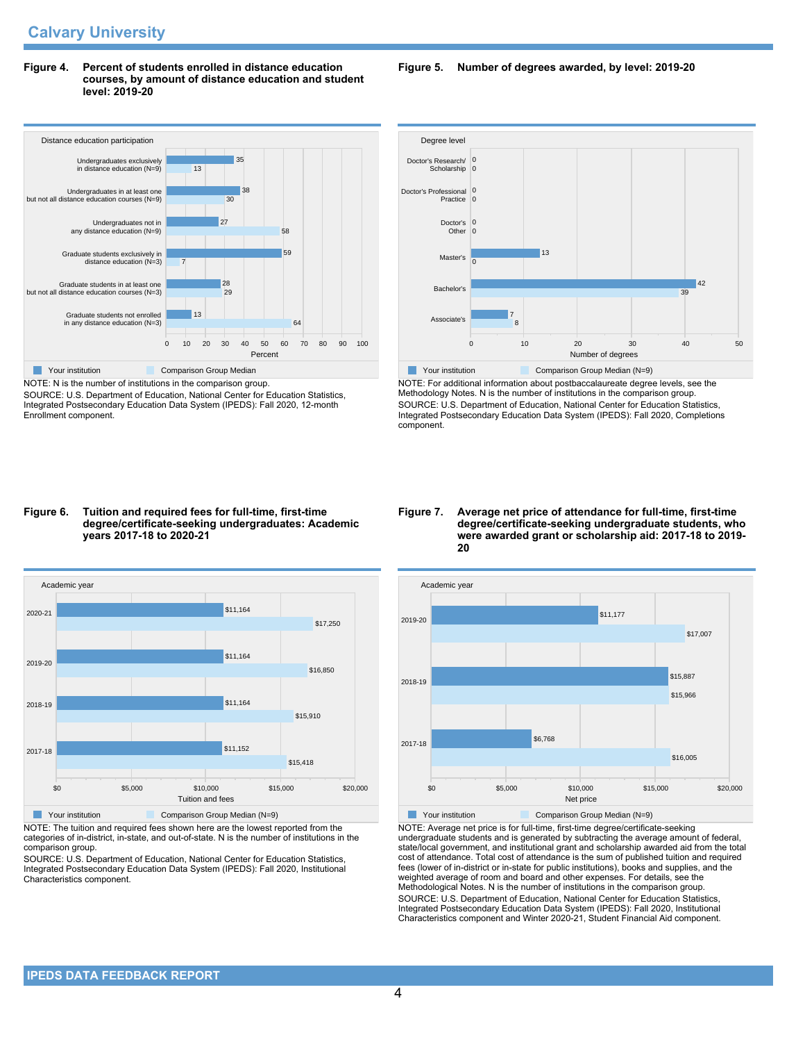### **Figure 4. Percent of students enrolled in distance education courses, by amount of distance education and student level: 2019-20**



NOTE: N is the number of institutions in the comparison group. SOURCE: U.S. Department of Education, National Center for Education Statistics, Integrated Postsecondary Education Data System (IPEDS): Fall 2020, 12-month Enrollment component.

# **Figure 5. Number of degrees awarded, by level: 2019-20**



NOTE: For additional information about postbaccalaureate degree levels, see the Methodology Notes. N is the number of institutions in the comparison group. SOURCE: U.S. Department of Education, National Center for Education Statistics, Integrated Postsecondary Education Data System (IPEDS): Fall 2020, Completions component.

#### **Figure 6. Tuition and required fees for full-time, first-time degree/certificate-seeking undergraduates: Academic years 2017-18 to 2020-21**



NOTE: The tuition and required fees shown here are the lowest reported from the categories of in-district, in-state, and out-of-state. N is the number of institutions in the comparison group.

SOURCE: U.S. Department of Education, National Center for Education Statistics, Integrated Postsecondary Education Data System (IPEDS): Fall 2020, Institutional Characteristics component.

#### **Figure 7. Average net price of attendance for full-time, first-time degree/certificate-seeking undergraduate students, who were awarded grant or scholarship aid: 2017-18 to 2019- 20**



NOTE: Average net price is for full-time, first-time degree/certificate-seeking undergraduate students and is generated by subtracting the average amount of federal, state/local government, and institutional grant and scholarship awarded aid from the total cost of attendance. Total cost of attendance is the sum of published tuition and required fees (lower of in-district or in-state for public institutions), books and supplies, and the weighted average of room and board and other expenses. For details, see the Methodological Notes. N is the number of institutions in the comparison group. SOURCE: U.S. Department of Education, National Center for Education Statistics, Integrated Postsecondary Education Data System (IPEDS): Fall 2020, Institutional Characteristics component and Winter 2020-21, Student Financial Aid component.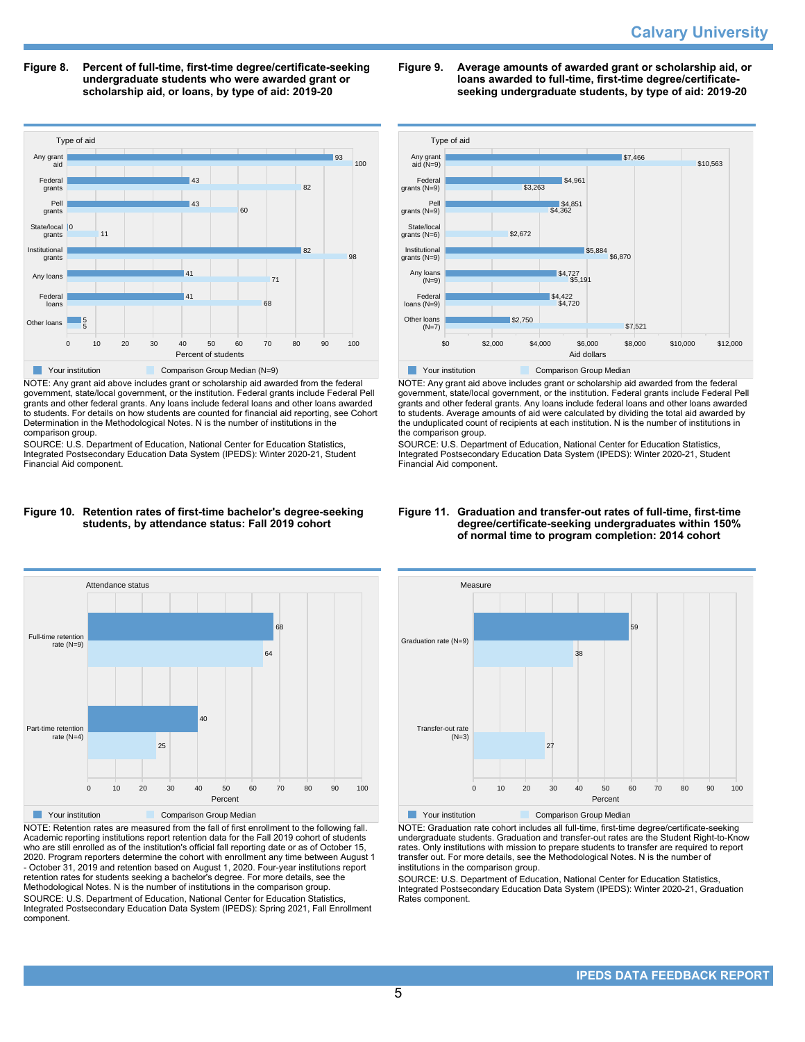**Figure 8. Percent of full-time, first-time degree/certificate-seeking undergraduate students who were awarded grant or scholarship aid, or loans, by type of aid: 2019-20**



NOTE: Any grant aid above includes grant or scholarship aid awarded from the federal government, state/local government, or the institution. Federal grants include Federal Pell grants and other federal grants. Any loans include federal loans and other loans awarded to students. For details on how students are counted for financial aid reporting, see Cohort Determination in the Methodological Notes. N is the number of institutions in the comparison group.

SOURCE: U.S. Department of Education, National Center for Education Statistics, Integrated Postsecondary Education Data System (IPEDS): Winter 2020-21, Student Financial Aid component.





NOTE: Retention rates are measured from the fall of first enrollment to the following fall. Academic reporting institutions report retention data for the Fall 2019 cohort of students who are still enrolled as of the institution's official fall reporting date or as of October 15, 2020. Program reporters determine the cohort with enrollment any time between August 1 - October 31, 2019 and retention based on August 1, 2020. Four-year institutions report retention rates for students seeking a bachelor's degree. For more details, see the Methodological Notes. N is the number of institutions in the comparison group. SOURCE: U.S. Department of Education, National Center for Education Statistics, Integrated Postsecondary Education Data System (IPEDS): Spring 2021, Fall Enrollment component.

**Figure 9. Average amounts of awarded grant or scholarship aid, or loans awarded to full-time, first-time degree/certificateseeking undergraduate students, by type of aid: 2019-20**



NOTE: Any grant aid above includes grant or scholarship aid awarded from the federal government, state/local government, or the institution. Federal grants include Federal Pell grants and other federal grants. Any loans include federal loans and other loans awarded to students. Average amounts of aid were calculated by dividing the total aid awarded by the unduplicated count of recipients at each institution. N is the number of institutions in the comparison group.

SOURCE: U.S. Department of Education, National Center for Education Statistics, Integrated Postsecondary Education Data System (IPEDS): Winter 2020-21, Student Financial Aid component.





NOTE: Graduation rate cohort includes all full-time, first-time degree/certificate-seeking undergraduate students. Graduation and transfer-out rates are the Student Right-to-Know rates. Only institutions with mission to prepare students to transfer are required to report transfer out. For more details, see the Methodological Notes. N is the number of institutions in the comparison group.

SOURCE: U.S. Department of Education, National Center for Education Statistics, Integrated Postsecondary Education Data System (IPEDS): Winter 2020-21, Graduation Rates component.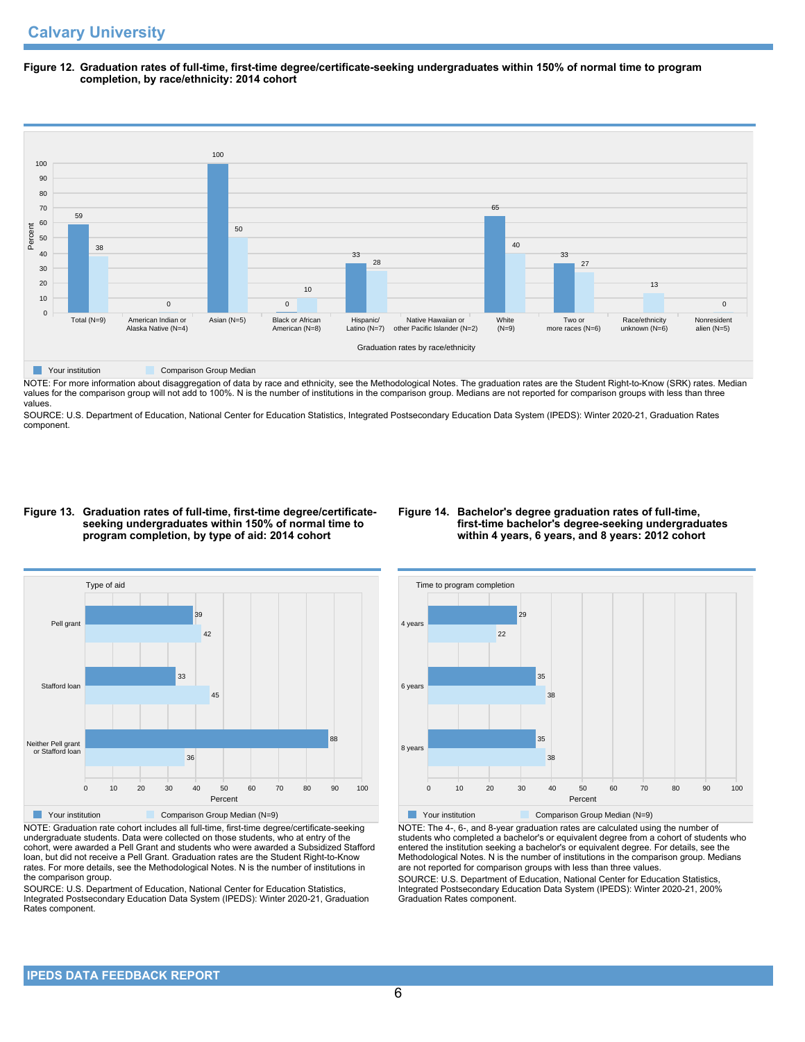**Figure 12. Graduation rates of full-time, first-time degree/certificate-seeking undergraduates within 150% of normal time to program completion, by race/ethnicity: 2014 cohort**



NOTE: For more information about disaggregation of data by race and ethnicity, see the Methodological Notes. The graduation rates are the Student Right-to-Know (SRK) rates. Median Not Little in the comparison group will not add to 100%. N is the number of institutions in the comparison group. Medians are not reported for comparison groups with less than three values.

SOURCE: U.S. Department of Education, National Center for Education Statistics, Integrated Postsecondary Education Data System (IPEDS): Winter 2020-21, Graduation Rates component.

#### **Figure 13. Graduation rates of full-time, first-time degree/certificateseeking undergraduates within 150% of normal time to program completion, by type of aid: 2014 cohort**

### **Figure 14. Bachelor's degree graduation rates of full-time, first-time bachelor's degree-seeking undergraduates within 4 years, 6 years, and 8 years: 2012 cohort**



NOTE: Graduation rate cohort includes all full-time, first-time degree/certificate-seeking undergraduate students. Data were collected on those students, who at entry of the cohort, were awarded a Pell Grant and students who were awarded a Subsidized Stafford loan, but did not receive a Pell Grant. Graduation rates are the Student Right-to-Know rates. For more details, see the Methodological Notes. N is the number of institutions in the comparison group.

SOURCE: U.S. Department of Education, National Center for Education Statistics, Integrated Postsecondary Education Data System (IPEDS): Winter 2020-21, Graduation Rates component.



**The Comparison Group Median (N=9)** Comparison Group Median (N=9)

NOTE: The 4-, 6-, and 8-year graduation rates are calculated using the number of students who completed a bachelor's or equivalent degree from a cohort of students who entered the institution seeking a bachelor's or equivalent degree. For details, see the Methodological Notes. N is the number of institutions in the comparison group. Medians are not reported for comparison groups with less than three values. SOURCE: U.S. Department of Education, National Center for Education Statistics,

Integrated Postsecondary Education Data System (IPEDS): Winter 2020-21, 200% Graduation Rates component.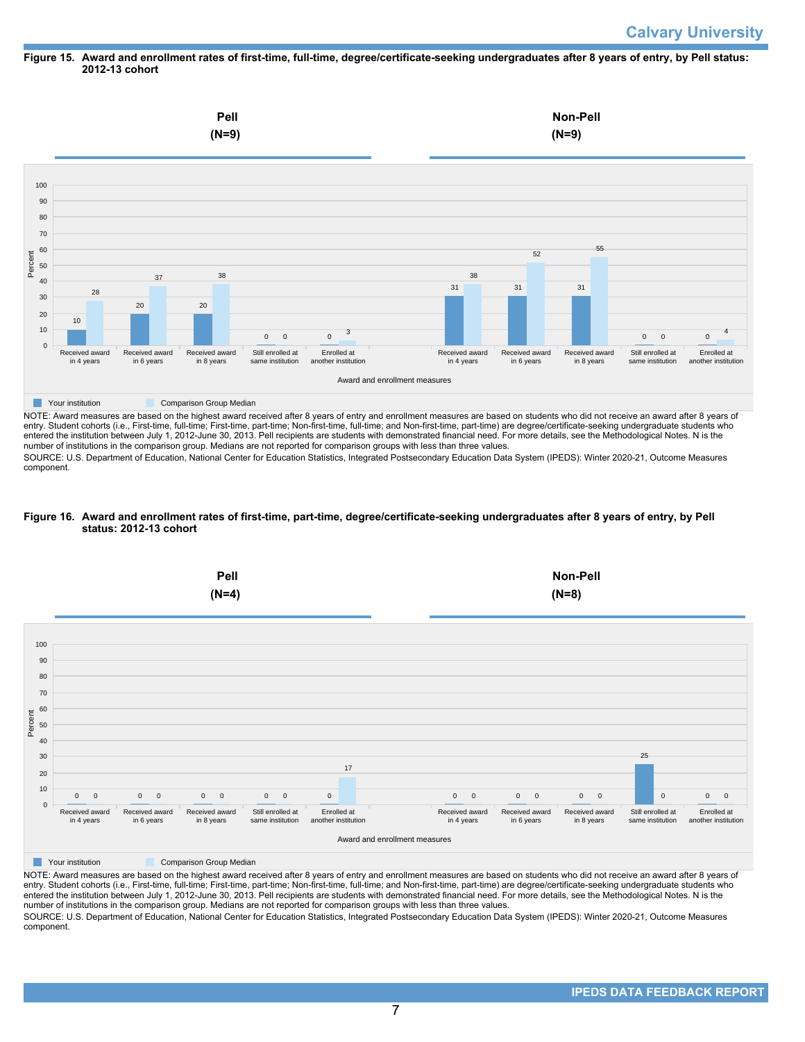# **Calvary University**

### **Figure 15. Award and enrollment rates of first-time, full-time, degree/certificate-seeking undergraduates after 8 years of entry, by Pell status: 2012-13 cohort**



NOTE: Award measures are based on the highest award received after 8 years of entry and enrollment measures are based on students who did not receive an award after 8 years of entry. Student cohorts (i.e., First-time, full-time; First-time, part-time; Non-first-time, full-time; and Non-first-time, part-time) are degree/certificate-seeking undergraduate students who entered the institution between July 1, 2012-June 30, 2013. Pell recipients are students with demonstrated financial need. For more details, see the Methodological Notes. N is the number of institutions in the comparison group. Medians are not reported for comparison groups with less than three values.

SOURCE: U.S. Department of Education, National Center for Education Statistics, Integrated Postsecondary Education Data System (IPEDS): Winter 2020-21, Outcome Measures component.

### **Figure 16. Award and enrollment rates of first-time, part-time, degree/certificate-seeking undergraduates after 8 years of entry, by Pell status: 2012-13 cohort**



NOTE: Award measures are based on the highest award received after 8 years of entry and enrollment measures are based on students who did not receive an award after 8 years of entry. Student cohorts (i.e., First-time, full-time; First-time, part-time; Non-first-time, full-time; and Non-first-time, part-time) are degree/certificate-seeking undergraduate students who entered the institution between July 1, 2012-June 30, 2013. Pell recipients are students with demonstrated financial need. For more details, see the Methodological Notes. N is the number of institutions in the comparison group. Medians are not reported for comparison groups with less than three values. SOURCE: U.S. Department of Education, National Center for Education Statistics, Integrated Postsecondary Education Data System (IPEDS): Winter 2020-21, Outcome Measures component.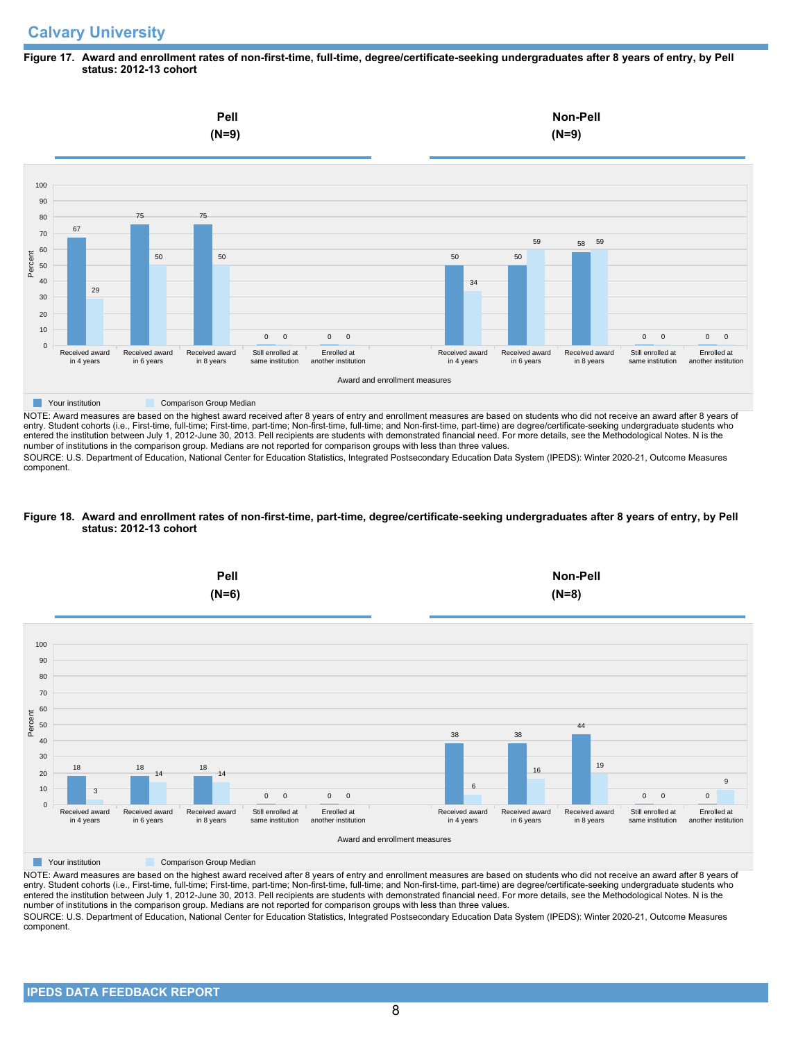### **Figure 17. Award and enrollment rates of non-first-time, full-time, degree/certificate-seeking undergraduates after 8 years of entry, by Pell status: 2012-13 cohort**



NOTE: Award measures are based on the highest award received after 8 years of entry and enrollment measures are based on students who did not receive an award after 8 years of entry. Student cohorts (i.e., First-time, full-time; First-time, part-time; Non-first-time, full-time; and Non-first-time, part-time) are degree/certificate-seeking undergraduate students who entered the institution between July 1, 2012-June 30, 2013. Pell recipients are students with demonstrated financial need. For more details, see the Methodological Notes. N is the number of institutions in the comparison group. Medians are not reported for comparison groups with less than three values.

SOURCE: U.S. Department of Education, National Center for Education Statistics, Integrated Postsecondary Education Data System (IPEDS): Winter 2020-21, Outcome Measures component.

### **Figure 18. Award and enrollment rates of non-first-time, part-time, degree/certificate-seeking undergraduates after 8 years of entry, by Pell status: 2012-13 cohort**



NOTE: Award measures are based on the highest award received after 8 years of entry and enrollment measures are based on students who did not receive an award after 8 years of entry. Student cohorts (i.e., First-time, full-time; First-time, part-time; Non-first-time, full-time; and Non-first-time, part-time) are degree/certificate-seeking undergraduate students who entered the institution between July 1, 2012-June 30, 2013. Pell recipients are students with demonstrated financial need. For more details, see the Methodological Notes. N is the number of institutions in the comparison group. Medians are not reported for comparison groups with less than three values. SOURCE: U.S. Department of Education, National Center for Education Statistics, Integrated Postsecondary Education Data System (IPEDS): Winter 2020-21, Outcome Measures component.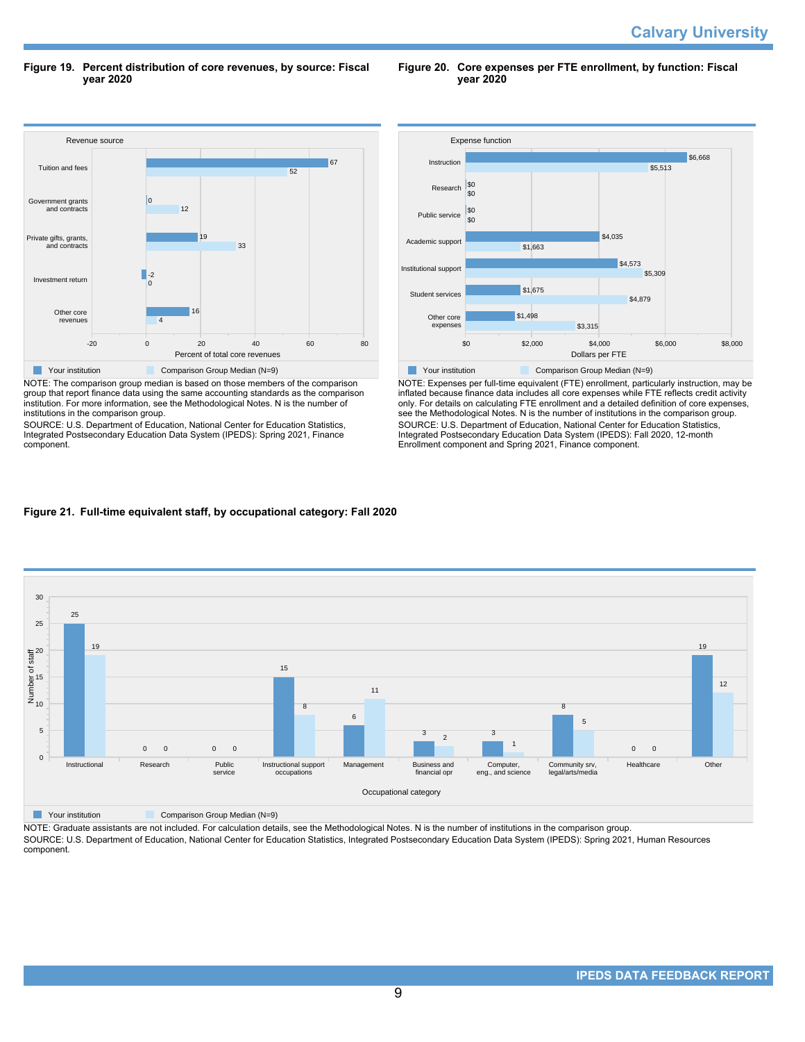**Figure 19. Percent distribution of core revenues, by source: Fiscal year 2020**

Revenue source -20 0 20 40 60 80 Percent of total core revenues Other core revenues Investment return Private gifts, grants, and contracts Government grants and contracts Tuition and fees 4 16  $\Omega$  $\Box$ -2 33 19 12 0 52 67 **The Comparison Group Median (N=9)** Comparison Group Median (N=9) NOTE: The comparison group median is based on those members of the comparison

group that report finance data using the same accounting standards as the comparison institution. For more information, see the Methodological Notes. N is the number of institutions in the comparison group.

SOURCE: U.S. Department of Education, National Center for Education Statistics, Integrated Postsecondary Education Data System (IPEDS): Spring 2021, Finance component.



**Figure 20. Core expenses per FTE enrollment, by function: Fiscal**

**year 2020**

NOTE: Expenses per full-time equivalent (FTE) enrollment, particularly instruction, may be inflated because finance data includes all core expenses while FTE reflects credit activity only. For details on calculating FTE enrollment and a detailed definition of core expenses, see the Methodological Notes. N is the number of institutions in the comparison group. SOURCE: U.S. Department of Education, National Center for Education Statistics, Integrated Postsecondary Education Data System (IPEDS): Fall 2020, 12-month Enrollment component and Spring 2021, Finance component.

# **Figure 21. Full-time equivalent staff, by occupational category: Fall 2020**



**The Comparison Group Median (N=9)** Comparison Group Median (N=9)

NOTE: Graduate assistants are not included. For calculation details, see the Methodological Notes. N is the number of institutions in the comparison group. SOURCE: U.S. Department of Education, National Center for Education Statistics, Integrated Postsecondary Education Data System (IPEDS): Spring 2021, Human Resources component.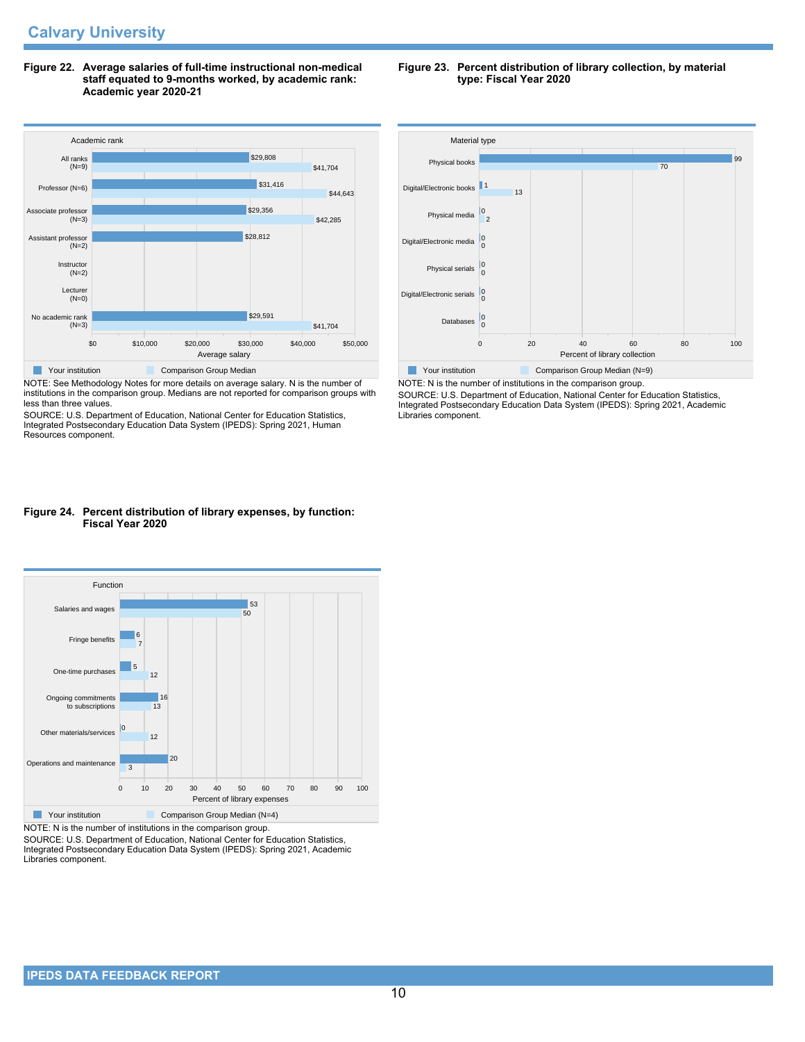**Figure 22. Average salaries of full-time instructional non-medical staff equated to 9-months worked, by academic rank: Academic year 2020-21**



NOTE: See Methodology Notes for more details on average salary. N is the number of institutions in the comparison group. Medians are not reported for comparison groups with less than three values.

SOURCE: U.S. Department of Education, National Center for Education Statistics, Integrated Postsecondary Education Data System (IPEDS): Spring 2021, Human Resources component.

### **Figure 24. Percent distribution of library expenses, by function: Fiscal Year 2020**



NOTE: N is the number of institutions in the comparison group.

SOURCE: U.S. Department of Education, National Center for Education Statistics, Integrated Postsecondary Education Data System (IPEDS): Spring 2021, Academic Libraries component.

#### **Figure 23. Percent distribution of library collection, by material type: Fiscal Year 2020**



NOTE: N is the number of institutions in the comparison group. SOURCE: U.S. Department of Education, National Center for Education Statistics, Integrated Postsecondary Education Data System (IPEDS): Spring 2021, Academic Libraries component.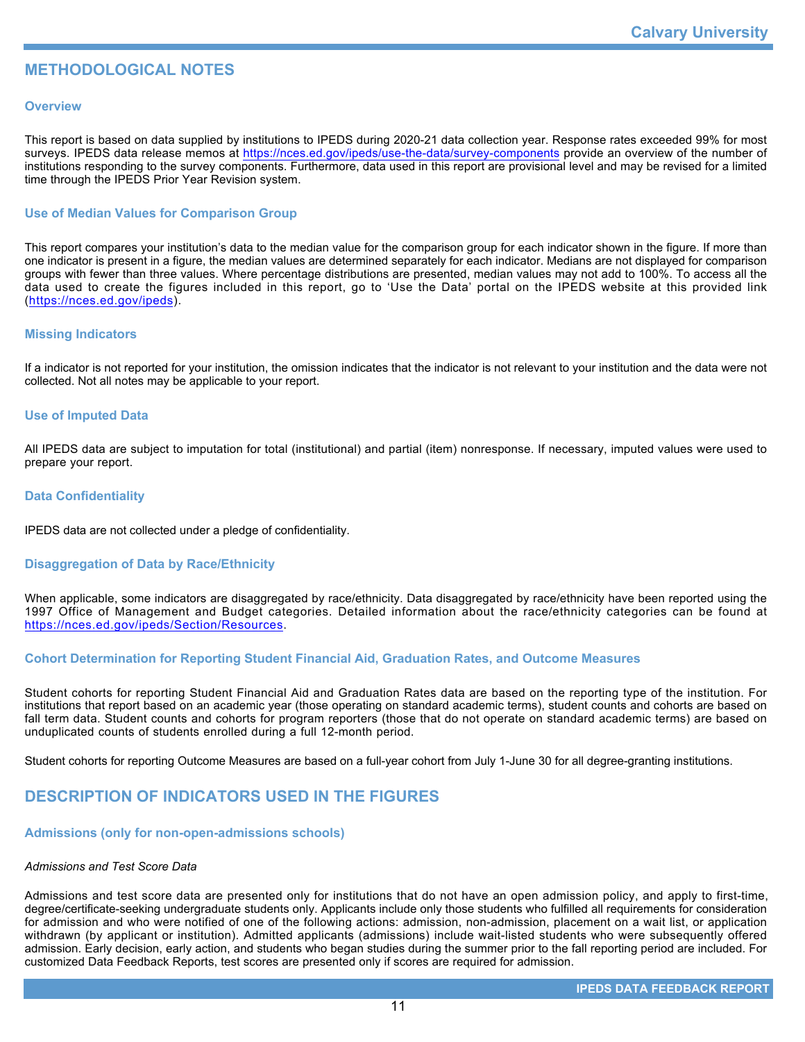# **METHODOLOGICAL NOTES**

## **Overview**

This report is based on data supplied by institutions to IPEDS during 2020-21 data collection year. Response rates exceeded 99% for most surveys. IPEDS data release memos at <https://nces.ed.gov/ipeds/use-the-data/survey-components> provide an overview of the number of institutions responding to the survey components. Furthermore, data used in this report are provisional level and may be revised for a limited time through the IPEDS Prior Year Revision system.

# **Use of Median Values for Comparison Group**

This report compares your institution's data to the median value for the comparison group for each indicator shown in the figure. If more than one indicator is present in a figure, the median values are determined separately for each indicator. Medians are not displayed for comparison groups with fewer than three values. Where percentage distributions are presented, median values may not add to 100%. To access all the data used to create the figures included in this report, go to 'Use the Data' portal on the IPEDS website at this provided link (<https://nces.ed.gov/ipeds>).

## **Missing Indicators**

If a indicator is not reported for your institution, the omission indicates that the indicator is not relevant to your institution and the data were not collected. Not all notes may be applicable to your report.

### **Use of Imputed Data**

All IPEDS data are subject to imputation for total (institutional) and partial (item) nonresponse. If necessary, imputed values were used to prepare your report.

## **Data Confidentiality**

IPEDS data are not collected under a pledge of confidentiality.

### **Disaggregation of Data by Race/Ethnicity**

When applicable, some indicators are disaggregated by race/ethnicity. Data disaggregated by race/ethnicity have been reported using the 1997 Office of Management and Budget categories. Detailed information about the race/ethnicity categories can be found at <https://nces.ed.gov/ipeds/Section/Resources>.

## **Cohort Determination for Reporting Student Financial Aid, Graduation Rates, and Outcome Measures**

Student cohorts for reporting Student Financial Aid and Graduation Rates data are based on the reporting type of the institution. For institutions that report based on an academic year (those operating on standard academic terms), student counts and cohorts are based on fall term data. Student counts and cohorts for program reporters (those that do not operate on standard academic terms) are based on unduplicated counts of students enrolled during a full 12-month period.

Student cohorts for reporting Outcome Measures are based on a full-year cohort from July 1-June 30 for all degree-granting institutions.

# **DESCRIPTION OF INDICATORS USED IN THE FIGURES**

### **Admissions (only for non-open-admissions schools)**

### *Admissions and Test Score Data*

Admissions and test score data are presented only for institutions that do not have an open admission policy, and apply to first-time, degree/certificate-seeking undergraduate students only. Applicants include only those students who fulfilled all requirements for consideration for admission and who were notified of one of the following actions: admission, non-admission, placement on a wait list, or application withdrawn (by applicant or institution). Admitted applicants (admissions) include wait-listed students who were subsequently offered admission. Early decision, early action, and students who began studies during the summer prior to the fall reporting period are included. For customized Data Feedback Reports, test scores are presented only if scores are required for admission.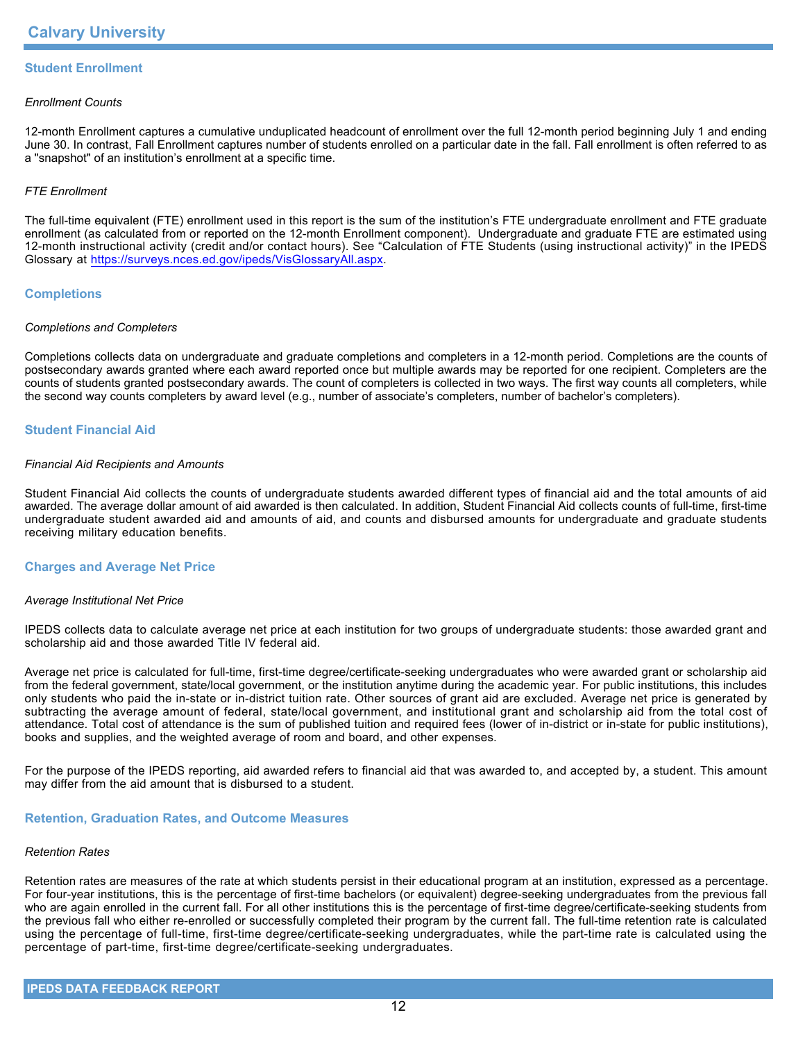# **Student Enrollment**

### *Enrollment Counts*

12-month Enrollment captures a cumulative unduplicated headcount of enrollment over the full 12-month period beginning July 1 and ending June 30. In contrast, Fall Enrollment captures number of students enrolled on a particular date in the fall. Fall enrollment is often referred to as a "snapshot" of an institution's enrollment at a specific time.

## *FTE Enrollment*

The full-time equivalent (FTE) enrollment used in this report is the sum of the institution's FTE undergraduate enrollment and FTE graduate enrollment (as calculated from or reported on the 12-month Enrollment component). Undergraduate and graduate FTE are estimated using 12-month instructional activity (credit and/or contact hours). See "Calculation of FTE Students (using instructional activity)" in the IPEDS Glossary at <https://surveys.nces.ed.gov/ipeds/VisGlossaryAll.aspx>.

## **Completions**

### *Completions and Completers*

Completions collects data on undergraduate and graduate completions and completers in a 12-month period. Completions are the counts of postsecondary awards granted where each award reported once but multiple awards may be reported for one recipient. Completers are the counts of students granted postsecondary awards. The count of completers is collected in two ways. The first way counts all completers, while the second way counts completers by award level (e.g., number of associate's completers, number of bachelor's completers).

# **Student Financial Aid**

### *Financial Aid Recipients and Amounts*

Student Financial Aid collects the counts of undergraduate students awarded different types of financial aid and the total amounts of aid awarded. The average dollar amount of aid awarded is then calculated. In addition, Student Financial Aid collects counts of full-time, first-time undergraduate student awarded aid and amounts of aid, and counts and disbursed amounts for undergraduate and graduate students receiving military education benefits.

### **Charges and Average Net Price**

### *Average Institutional Net Price*

IPEDS collects data to calculate average net price at each institution for two groups of undergraduate students: those awarded grant and scholarship aid and those awarded Title IV federal aid.

Average net price is calculated for full-time, first-time degree/certificate-seeking undergraduates who were awarded grant or scholarship aid from the federal government, state/local government, or the institution anytime during the academic year. For public institutions, this includes only students who paid the in-state or in-district tuition rate. Other sources of grant aid are excluded. Average net price is generated by subtracting the average amount of federal, state/local government, and institutional grant and scholarship aid from the total cost of attendance. Total cost of attendance is the sum of published tuition and required fees (lower of in-district or in-state for public institutions), books and supplies, and the weighted average of room and board, and other expenses.

For the purpose of the IPEDS reporting, aid awarded refers to financial aid that was awarded to, and accepted by, a student. This amount may differ from the aid amount that is disbursed to a student.

### **Retention, Graduation Rates, and Outcome Measures**

### *Retention Rates*

Retention rates are measures of the rate at which students persist in their educational program at an institution, expressed as a percentage. For four-year institutions, this is the percentage of first-time bachelors (or equivalent) degree-seeking undergraduates from the previous fall who are again enrolled in the current fall. For all other institutions this is the percentage of first-time degree/certificate-seeking students from the previous fall who either re-enrolled or successfully completed their program by the current fall. The full-time retention rate is calculated using the percentage of full-time, first-time degree/certificate-seeking undergraduates, while the part-time rate is calculated using the percentage of part-time, first-time degree/certificate-seeking undergraduates.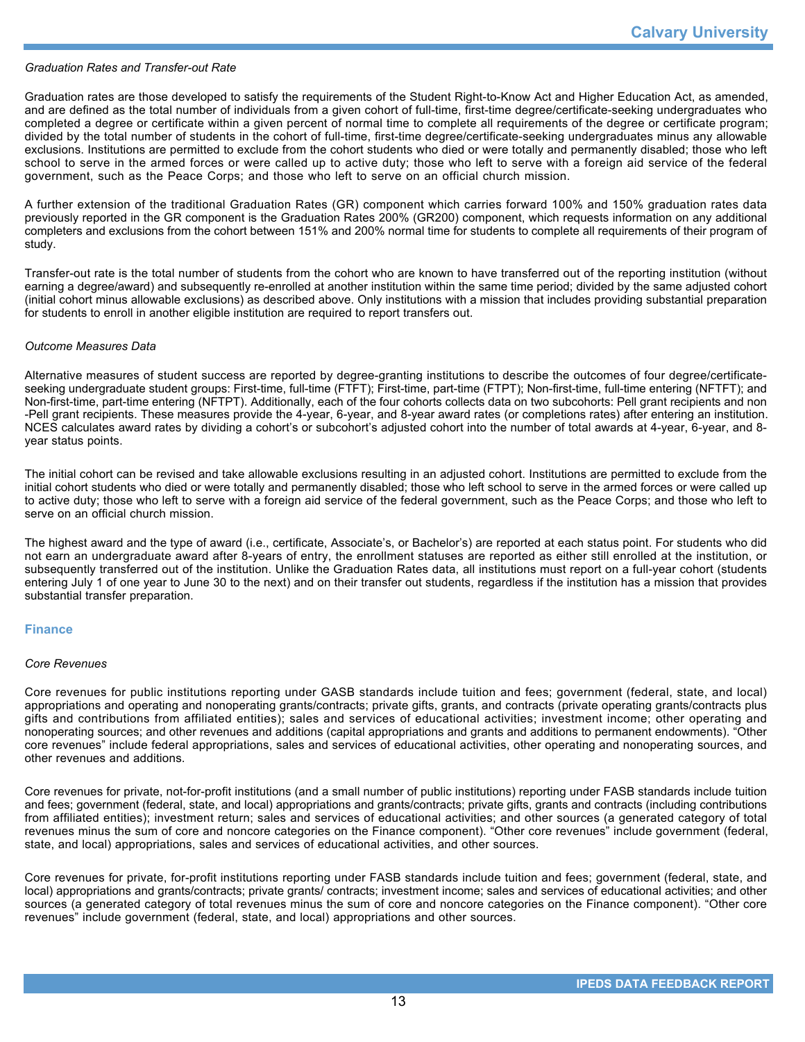### *Graduation Rates and Transfer-out Rate*

Graduation rates are those developed to satisfy the requirements of the Student Right-to-Know Act and Higher Education Act, as amended, and are defined as the total number of individuals from a given cohort of full-time, first-time degree/certificate-seeking undergraduates who completed a degree or certificate within a given percent of normal time to complete all requirements of the degree or certificate program; divided by the total number of students in the cohort of full-time, first-time degree/certificate-seeking undergraduates minus any allowable exclusions. Institutions are permitted to exclude from the cohort students who died or were totally and permanently disabled; those who left school to serve in the armed forces or were called up to active duty; those who left to serve with a foreign aid service of the federal government, such as the Peace Corps; and those who left to serve on an official church mission.

A further extension of the traditional Graduation Rates (GR) component which carries forward 100% and 150% graduation rates data previously reported in the GR component is the Graduation Rates 200% (GR200) component, which requests information on any additional completers and exclusions from the cohort between 151% and 200% normal time for students to complete all requirements of their program of study.

Transfer-out rate is the total number of students from the cohort who are known to have transferred out of the reporting institution (without earning a degree/award) and subsequently re-enrolled at another institution within the same time period; divided by the same adjusted cohort (initial cohort minus allowable exclusions) as described above. Only institutions with a mission that includes providing substantial preparation for students to enroll in another eligible institution are required to report transfers out.

### *Outcome Measures Data*

Alternative measures of student success are reported by degree-granting institutions to describe the outcomes of four degree/certificateseeking undergraduate student groups: First-time, full-time (FTFT); First-time, part-time (FTPT); Non-first-time, full-time entering (NFTFT); and Non-first-time, part-time entering (NFTPT). Additionally, each of the four cohorts collects data on two subcohorts: Pell grant recipients and non -Pell grant recipients. These measures provide the 4-year, 6-year, and 8-year award rates (or completions rates) after entering an institution. NCES calculates award rates by dividing a cohort's or subcohort's adjusted cohort into the number of total awards at 4-year, 6-year, and 8year status points.

The initial cohort can be revised and take allowable exclusions resulting in an adjusted cohort. Institutions are permitted to exclude from the initial cohort students who died or were totally and permanently disabled; those who left school to serve in the armed forces or were called up to active duty; those who left to serve with a foreign aid service of the federal government, such as the Peace Corps; and those who left to serve on an official church mission.

The highest award and the type of award (i.e., certificate, Associate's, or Bachelor's) are reported at each status point. For students who did not earn an undergraduate award after 8-years of entry, the enrollment statuses are reported as either still enrolled at the institution, or subsequently transferred out of the institution. Unlike the Graduation Rates data, all institutions must report on a full-year cohort (students entering July 1 of one year to June 30 to the next) and on their transfer out students, regardless if the institution has a mission that provides substantial transfer preparation.

### **Finance**

### *Core Revenues*

Core revenues for public institutions reporting under GASB standards include tuition and fees; government (federal, state, and local) appropriations and operating and nonoperating grants/contracts; private gifts, grants, and contracts (private operating grants/contracts plus gifts and contributions from affiliated entities); sales and services of educational activities; investment income; other operating and nonoperating sources; and other revenues and additions (capital appropriations and grants and additions to permanent endowments). "Other core revenues" include federal appropriations, sales and services of educational activities, other operating and nonoperating sources, and other revenues and additions.

Core revenues for private, not-for-profit institutions (and a small number of public institutions) reporting under FASB standards include tuition and fees; government (federal, state, and local) appropriations and grants/contracts; private gifts, grants and contracts (including contributions from affiliated entities); investment return; sales and services of educational activities; and other sources (a generated category of total revenues minus the sum of core and noncore categories on the Finance component). "Other core revenues" include government (federal, state, and local) appropriations, sales and services of educational activities, and other sources.

Core revenues for private, for-profit institutions reporting under FASB standards include tuition and fees; government (federal, state, and local) appropriations and grants/contracts; private grants/ contracts; investment income; sales and services of educational activities; and other sources (a generated category of total revenues minus the sum of core and noncore categories on the Finance component). "Other core revenues" include government (federal, state, and local) appropriations and other sources.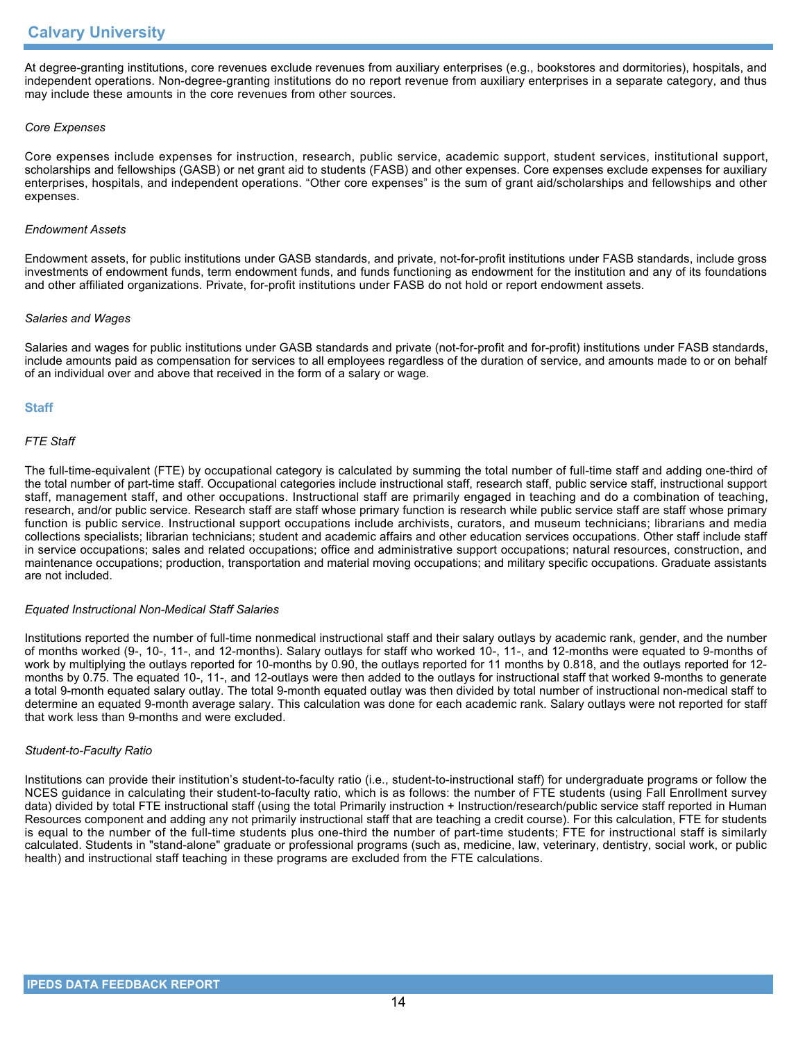At degree-granting institutions, core revenues exclude revenues from auxiliary enterprises (e.g., bookstores and dormitories), hospitals, and independent operations. Non-degree-granting institutions do no report revenue from auxiliary enterprises in a separate category, and thus may include these amounts in the core revenues from other sources.

## *Core Expenses*

Core expenses include expenses for instruction, research, public service, academic support, student services, institutional support, scholarships and fellowships (GASB) or net grant aid to students (FASB) and other expenses. Core expenses exclude expenses for auxiliary enterprises, hospitals, and independent operations. "Other core expenses" is the sum of grant aid/scholarships and fellowships and other expenses.

### *Endowment Assets*

Endowment assets, for public institutions under GASB standards, and private, not-for-profit institutions under FASB standards, include gross investments of endowment funds, term endowment funds, and funds functioning as endowment for the institution and any of its foundations and other affiliated organizations. Private, for-profit institutions under FASB do not hold or report endowment assets.

### *Salaries and Wages*

Salaries and wages for public institutions under GASB standards and private (not-for-profit and for-profit) institutions under FASB standards, include amounts paid as compensation for services to all employees regardless of the duration of service, and amounts made to or on behalf of an individual over and above that received in the form of a salary or wage.

## **Staff**

## *FTE Staff*

The full-time-equivalent (FTE) by occupational category is calculated by summing the total number of full-time staff and adding one-third of the total number of part-time staff. Occupational categories include instructional staff, research staff, public service staff, instructional support staff, management staff, and other occupations. Instructional staff are primarily engaged in teaching and do a combination of teaching, research, and/or public service. Research staff are staff whose primary function is research while public service staff are staff whose primary function is public service. Instructional support occupations include archivists, curators, and museum technicians; librarians and media collections specialists; librarian technicians; student and academic affairs and other education services occupations. Other staff include staff in service occupations; sales and related occupations; office and administrative support occupations; natural resources, construction, and maintenance occupations; production, transportation and material moving occupations; and military specific occupations. Graduate assistants are not included.

### *Equated Instructional Non-Medical Staff Salaries*

Institutions reported the number of full-time nonmedical instructional staff and their salary outlays by academic rank, gender, and the number of months worked (9-, 10-, 11-, and 12-months). Salary outlays for staff who worked 10-, 11-, and 12-months were equated to 9-months of work by multiplying the outlays reported for 10-months by 0.90, the outlays reported for 11 months by 0.818, and the outlays reported for 12 months by 0.75. The equated 10-, 11-, and 12-outlays were then added to the outlays for instructional staff that worked 9-months to generate a total 9-month equated salary outlay. The total 9-month equated outlay was then divided by total number of instructional non-medical staff to determine an equated 9-month average salary. This calculation was done for each academic rank. Salary outlays were not reported for staff that work less than 9-months and were excluded.

### *Student-to-Faculty Ratio*

Institutions can provide their institution's student-to-faculty ratio (i.e., student-to-instructional staff) for undergraduate programs or follow the NCES guidance in calculating their student-to-faculty ratio, which is as follows: the number of FTE students (using Fall Enrollment survey data) divided by total FTE instructional staff (using the total Primarily instruction + Instruction/research/public service staff reported in Human Resources component and adding any not primarily instructional staff that are teaching a credit course). For this calculation, FTE for students is equal to the number of the full-time students plus one-third the number of part-time students; FTE for instructional staff is similarly calculated. Students in "stand-alone" graduate or professional programs (such as, medicine, law, veterinary, dentistry, social work, or public health) and instructional staff teaching in these programs are excluded from the FTE calculations.